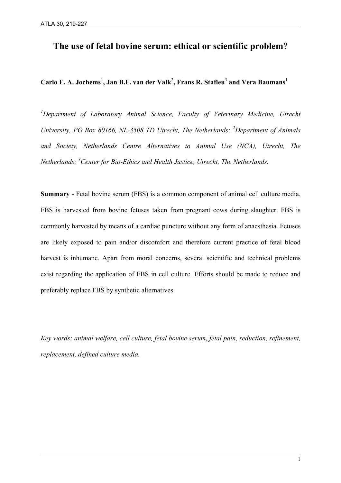# **The use of fetal bovine serum: ethical or scientific problem?**

## $\bf{Carlo\ E.\ A.\ Jochems}^{\rm l},\bf{Jan\ B.F.\ van\ der~Valk}^{\rm 2},\bf{Frans\ R.\ Statfeu}^{\rm 3}$  and  $\bf{Vera\ Baumans}^{\rm l}$

<sup>1</sup>Department of Laboratory Animal Science, Faculty of Veterinary Medicine, Utrecht *University, PO Box 80166, NL-3508 TD Utrecht, The Netherlands; <sup>2</sup> Department of Animals and Society, Netherlands Centre Alternatives to Animal Use (NCA), Utrecht, The Netherlands; 3 Center for Bio-Ethics and Health Justice, Utrecht, The Netherlands.*

**Summary** - Fetal bovine serum (FBS) is a common component of animal cell culture media. FBS is harvested from bovine fetuses taken from pregnant cows during slaughter. FBS is commonly harvested by means of a cardiac puncture without any form of anaesthesia. Fetuses are likely exposed to pain and/or discomfort and therefore current practice of fetal blood harvest is inhumane. Apart from moral concerns, several scientific and technical problems exist regarding the application of FBS in cell culture. Efforts should be made to reduce and preferably replace FBS by synthetic alternatives.

*Key words: animal welfare, cell culture, fetal bovine serum, fetal pain, reduction, refinement, replacement, defined culture media.*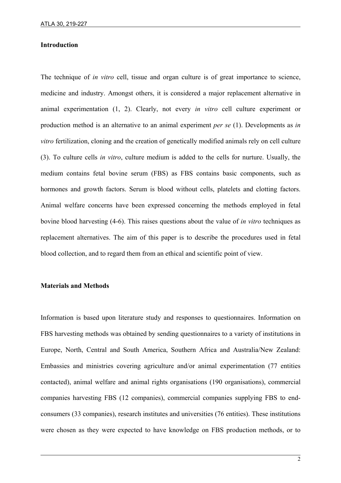#### **Introduction**

The technique of *in vitro* cell, tissue and organ culture is of great importance to science, medicine and industry. Amongst others, it is considered a major replacement alternative in animal experimentation (1, 2). Clearly, not every *in vitro* cell culture experiment or production method is an alternative to an animal experiment *per se* (1). Developments as *in vitro* fertilization, cloning and the creation of genetically modified animals rely on cell culture (3). To culture cells *in vitro*, culture medium is added to the cells for nurture. Usually, the medium contains fetal bovine serum (FBS) as FBS contains basic components, such as hormones and growth factors. Serum is blood without cells, platelets and clotting factors. Animal welfare concerns have been expressed concerning the methods employed in fetal bovine blood harvesting (4-6). This raises questions about the value of *in vitro* techniques as replacement alternatives. The aim of this paper is to describe the procedures used in fetal blood collection, and to regard them from an ethical and scientific point of view.

#### **Materials and Methods**

l

Information is based upon literature study and responses to questionnaires. Information on FBS harvesting methods was obtained by sending questionnaires to a variety of institutions in Europe, North, Central and South America, Southern Africa and Australia/New Zealand: Embassies and ministries covering agriculture and/or animal experimentation (77 entities contacted), animal welfare and animal rights organisations (190 organisations), commercial companies harvesting FBS (12 companies), commercial companies supplying FBS to endconsumers (33 companies), research institutes and universities (76 entities). These institutions were chosen as they were expected to have knowledge on FBS production methods, or to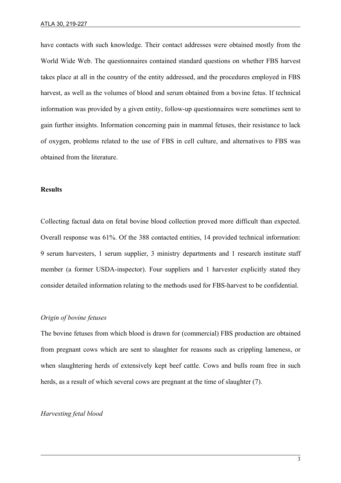have contacts with such knowledge. Their contact addresses were obtained mostly from the World Wide Web. The questionnaires contained standard questions on whether FBS harvest takes place at all in the country of the entity addressed, and the procedures employed in FBS harvest, as well as the volumes of blood and serum obtained from a bovine fetus. If technical information was provided by a given entity, follow-up questionnaires were sometimes sent to gain further insights. Information concerning pain in mammal fetuses, their resistance to lack of oxygen, problems related to the use of FBS in cell culture, and alternatives to FBS was obtained from the literature.

#### **Results**

Collecting factual data on fetal bovine blood collection proved more difficult than expected. Overall response was 61%. Of the 388 contacted entities, 14 provided technical information: 9 serum harvesters, 1 serum supplier, 3 ministry departments and 1 research institute staff member (a former USDA-inspector). Four suppliers and 1 harvester explicitly stated they consider detailed information relating to the methods used for FBS-harvest to be confidential.

## *Origin of bovine fetuses*

The bovine fetuses from which blood is drawn for (commercial) FBS production are obtained from pregnant cows which are sent to slaughter for reasons such as crippling lameness, or when slaughtering herds of extensively kept beef cattle. Cows and bulls roam free in such herds, as a result of which several cows are pregnant at the time of slaughter (7).

#### *Harvesting fetal blood*

l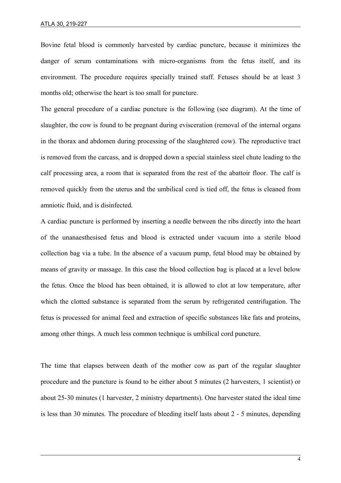Bovine fetal blood is commonly harvested by cardiac puncture, because it minimizes the danger of serum contaminations with micro-organisms from the fetus itself, and its environment. The procedure requires specially trained staff. Fetuses should be at least 3 months old; otherwise the heart is too small for puncture.

The general procedure of a cardiac puncture is the following (see diagram). At the time of slaughter, the cow is found to be pregnant during evisceration (removal of the internal organs in the thorax and abdomen during processing of the slaughtered cow). The reproductive tract is removed from the carcass, and is dropped down a special stainless steel chute leading to the calf processing area, a room that is separated from the rest of the abattoir floor. The calf is removed quickly from the uterus and the umbilical cord is tied off, the fetus is cleaned from amniotic fluid, and is disinfected.

A cardiac puncture is performed by inserting a needle between the ribs directly into the heart of the unanaesthesised fetus and blood is extracted under vacuum into a sterile blood collection bag via a tube. In the absence of a vacuum pump, fetal blood may be obtained by means of gravity or massage. In this case the blood collection bag is placed at a level below the fetus. Once the blood has been obtained, it is allowed to clot at low temperature, after which the clotted substance is separated from the serum by refrigerated centrifugation. The fetus is processed for animal feed and extraction of specific substances like fats and proteins, among other things. A much less common technique is umbilical cord puncture.

The time that elapses between death of the mother cow as part of the regular slaughter procedure and the puncture is found to be either about 5 minutes (2 harvesters, 1 scientist) or about 25-30 minutes (1 harvester, 2 ministry departments). One harvester stated the ideal time is less than 30 minutes. The procedure of bleeding itself lasts about 2 - 5 minutes, depending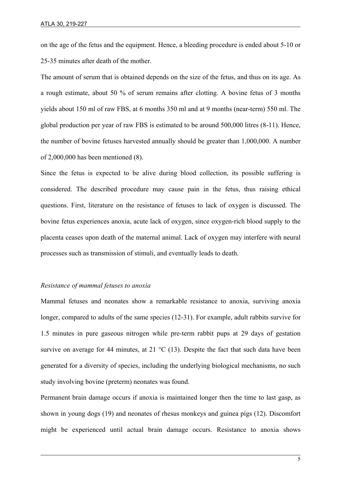on the age of the fetus and the equipment. Hence, a bleeding procedure is ended about 5-10 or 25-35 minutes after death of the mother.

The amount of serum that is obtained depends on the size of the fetus, and thus on its age. As a rough estimate, about 50 % of serum remains after clotting. A bovine fetus of 3 months yields about 150 ml of raw FBS, at 6 months 350 ml and at 9 months (near-term) 550 ml. The global production per year of raw FBS is estimated to be around 500,000 litres (8-11). Hence, the number of bovine fetuses harvested annually should be greater than 1,000,000. A number of 2,000,000 has been mentioned (8).

Since the fetus is expected to be alive during blood collection, its possible suffering is considered. The described procedure may cause pain in the fetus, thus raising ethical questions. First, literature on the resistance of fetuses to lack of oxygen is discussed. The bovine fetus experiences anoxia, acute lack of oxygen, since oxygen-rich blood supply to the placenta ceases upon death of the maternal animal. Lack of oxygen may interfere with neural processes such as transmission of stimuli, and eventually leads to death.

## *Resistance of mammal fetuses to anoxia*

l

Mammal fetuses and neonates show a remarkable resistance to anoxia, surviving anoxia longer, compared to adults of the same species (12-31). For example, adult rabbits survive for 1.5 minutes in pure gaseous nitrogen while pre-term rabbit pups at 29 days of gestation survive on average for 44 minutes, at 21  $^{\circ}$ C (13). Despite the fact that such data have been generated for a diversity of species, including the underlying biological mechanisms, no such study involving bovine (preterm) neonates was found.

Permanent brain damage occurs if anoxia is maintained longer then the time to last gasp, as shown in young dogs (19) and neonates of rhesus monkeys and guinea pigs (12). Discomfort might be experienced until actual brain damage occurs. Resistance to anoxia shows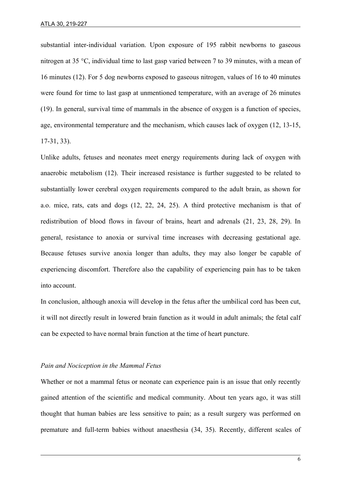substantial inter-individual variation. Upon exposure of 195 rabbit newborns to gaseous nitrogen at 35 °C, individual time to last gasp varied between 7 to 39 minutes, with a mean of 16 minutes (12). For 5 dog newborns exposed to gaseous nitrogen, values of 16 to 40 minutes were found for time to last gasp at unmentioned temperature, with an average of 26 minutes (19). In general, survival time of mammals in the absence of oxygen is a function of species, age, environmental temperature and the mechanism, which causes lack of oxygen (12, 13-15, 17-31, 33).

Unlike adults, fetuses and neonates meet energy requirements during lack of oxygen with anaerobic metabolism (12). Their increased resistance is further suggested to be related to substantially lower cerebral oxygen requirements compared to the adult brain, as shown for a.o. mice, rats, cats and dogs (12, 22, 24, 25). A third protective mechanism is that of redistribution of blood flows in favour of brains, heart and adrenals (21, 23, 28, 29). In general, resistance to anoxia or survival time increases with decreasing gestational age. Because fetuses survive anoxia longer than adults, they may also longer be capable of experiencing discomfort. Therefore also the capability of experiencing pain has to be taken into account.

In conclusion, although anoxia will develop in the fetus after the umbilical cord has been cut, it will not directly result in lowered brain function as it would in adult animals; the fetal calf can be expected to have normal brain function at the time of heart puncture.

#### *Pain and Nociception in the Mammal Fetus*

l

Whether or not a mammal fetus or neonate can experience pain is an issue that only recently gained attention of the scientific and medical community. About ten years ago, it was still thought that human babies are less sensitive to pain; as a result surgery was performed on premature and full-term babies without anaesthesia (34, 35). Recently, different scales of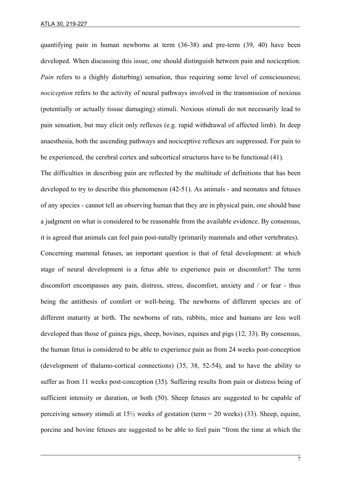quantifying pain in human newborns at term (36-38) and pre-term (39, 40) have been developed. When discussing this issue, one should distinguish between pain and nociception. *Pain* refers to a (highly disturbing) sensation, thus requiring some level of consciousness; *nociception* refers to the activity of neural pathways involved in the transmission of noxious (potentially or actually tissue damaging) stimuli. Noxious stimuli do not necessarily lead to pain sensation, but may elicit only reflexes (e.g. rapid withdrawal of affected limb). In deep anaesthesia, both the ascending pathways and nociceptive reflexes are suppressed. For pain to be experienced, the cerebral cortex and subcortical structures have to be functional (41).

The difficulties in describing pain are reflected by the multitude of definitions that has been developed to try to describe this phenomenon (42-51). As animals - and neonates and fetuses of any species - cannot tell an observing human that they are in physical pain, one should base a judgment on what is considered to be reasonable from the available evidence. By consensus, it is agreed that animals can feel pain post-natally (primarily mammals and other vertebrates). Concerning mammal fetuses, an important question is that of fetal development: at which stage of neural development is a fetus able to experience pain or discomfort? The term discomfort encompasses any pain, distress, stress, discomfort, anxiety and / or fear - thus being the antithesis of comfort or well-being. The newborns of different species are of different maturity at birth. The newborns of rats, rabbits, mice and humans are less well developed than those of guinea pigs, sheep, bovines, equines and pigs (12, 33). By consensus, the human fetus is considered to be able to experience pain as from 24 weeks post-conception (development of thalamo-cortical connections) (35, 38, 52-54), and to have the ability to suffer as from 11 weeks post-conception (35). Suffering results from pain or distress being of sufficient intensity or duration, or both (50). Sheep fetuses are suggested to be capable of perceiving sensory stimuli at  $15\frac{1}{2}$  weeks of gestation (term = 20 weeks) (33). Sheep, equine, porcine and bovine fetuses are suggested to be able to feel pain "from the time at which the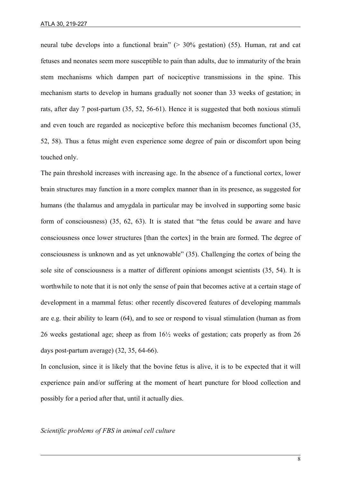neural tube develops into a functional brain" (> 30% gestation) (55). Human, rat and cat fetuses and neonates seem more susceptible to pain than adults, due to immaturity of the brain stem mechanisms which dampen part of nociceptive transmissions in the spine. This mechanism starts to develop in humans gradually not sooner than 33 weeks of gestation; in rats, after day 7 post-partum (35, 52, 56-61). Hence it is suggested that both noxious stimuli and even touch are regarded as nociceptive before this mechanism becomes functional (35, 52, 58). Thus a fetus might even experience some degree of pain or discomfort upon being touched only.

The pain threshold increases with increasing age. In the absence of a functional cortex, lower brain structures may function in a more complex manner than in its presence, as suggested for humans (the thalamus and amygdala in particular may be involved in supporting some basic form of consciousness) (35, 62, 63). It is stated that "the fetus could be aware and have consciousness once lower structures [than the cortex] in the brain are formed. The degree of consciousness is unknown and as yet unknowable" (35). Challenging the cortex of being the sole site of consciousness is a matter of different opinions amongst scientists (35, 54). It is worthwhile to note that it is not only the sense of pain that becomes active at a certain stage of development in a mammal fetus: other recently discovered features of developing mammals are e.g. their ability to learn (64), and to see or respond to visual stimulation (human as from 26 weeks gestational age; sheep as from 16½ weeks of gestation; cats properly as from 26 days post-partum average) (32, 35, 64-66).

In conclusion, since it is likely that the bovine fetus is alive, it is to be expected that it will experience pain and/or suffering at the moment of heart puncture for blood collection and possibly for a period after that, until it actually dies.

#### *Scientific problems of FBS in animal cell culture*

l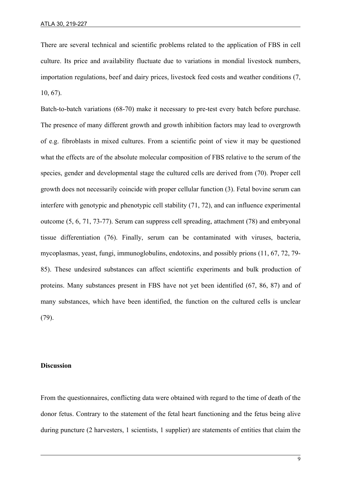There are several technical and scientific problems related to the application of FBS in cell culture. Its price and availability fluctuate due to variations in mondial livestock numbers, importation regulations, beef and dairy prices, livestock feed costs and weather conditions (7, 10, 67).

Batch-to-batch variations (68-70) make it necessary to pre-test every batch before purchase. The presence of many different growth and growth inhibition factors may lead to overgrowth of e.g. fibroblasts in mixed cultures. From a scientific point of view it may be questioned what the effects are of the absolute molecular composition of FBS relative to the serum of the species, gender and developmental stage the cultured cells are derived from (70). Proper cell growth does not necessarily coincide with proper cellular function (3). Fetal bovine serum can interfere with genotypic and phenotypic cell stability (71, 72), and can influence experimental outcome (5, 6, 71, 73-77). Serum can suppress cell spreading, attachment (78) and embryonal tissue differentiation (76). Finally, serum can be contaminated with viruses, bacteria, mycoplasmas, yeast, fungi, immunoglobulins, endotoxins, and possibly prions (11, 67, 72, 79- 85). These undesired substances can affect scientific experiments and bulk production of proteins. Many substances present in FBS have not yet been identified (67, 86, 87) and of many substances, which have been identified, the function on the cultured cells is unclear (79).

#### **Discussion**

l

From the questionnaires, conflicting data were obtained with regard to the time of death of the donor fetus. Contrary to the statement of the fetal heart functioning and the fetus being alive during puncture (2 harvesters, 1 scientists, 1 supplier) are statements of entities that claim the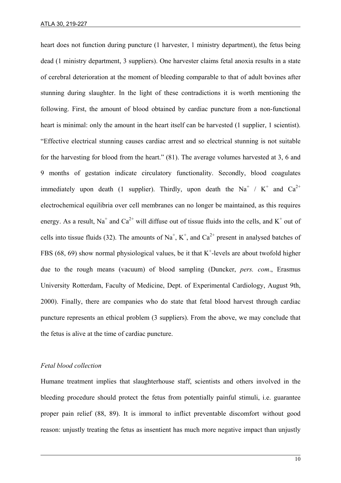heart does not function during puncture (1 harvester, 1 ministry department), the fetus being dead (1 ministry department, 3 suppliers). One harvester claims fetal anoxia results in a state of cerebral deterioration at the moment of bleeding comparable to that of adult bovines after stunning during slaughter. In the light of these contradictions it is worth mentioning the following. First, the amount of blood obtained by cardiac puncture from a non-functional heart is minimal: only the amount in the heart itself can be harvested (1 supplier, 1 scientist). "Effective electrical stunning causes cardiac arrest and so electrical stunning is not suitable for the harvesting for blood from the heart." (81). The average volumes harvested at 3, 6 and 9 months of gestation indicate circulatory functionality. Secondly, blood coagulates immediately upon death (1 supplier). Thirdly, upon death the Na<sup>+</sup> / K<sup>+</sup> and Ca<sup>2+</sup> electrochemical equilibria over cell membranes can no longer be maintained, as this requires energy. As a result, Na<sup>+</sup> and Ca<sup>2+</sup> will diffuse out of tissue fluids into the cells, and K<sup>+</sup> out of cells into tissue fluids (32). The amounts of Na<sup>+</sup>, K<sup>+</sup>, and Ca<sup>2+</sup> present in analysed batches of FBS (68, 69) show normal physiological values, be it that  $K^+$ -levels are about twofold higher due to the rough means (vacuum) of blood sampling (Duncker, *pers. com*., Erasmus University Rotterdam, Faculty of Medicine, Dept. of Experimental Cardiology, August 9th, 2000). Finally, there are companies who do state that fetal blood harvest through cardiac puncture represents an ethical problem (3 suppliers). From the above, we may conclude that the fetus is alive at the time of cardiac puncture.

#### *Fetal blood collection*

l

Humane treatment implies that slaughterhouse staff, scientists and others involved in the bleeding procedure should protect the fetus from potentially painful stimuli, i.e. guarantee proper pain relief (88, 89). It is immoral to inflict preventable discomfort without good reason: unjustly treating the fetus as insentient has much more negative impact than unjustly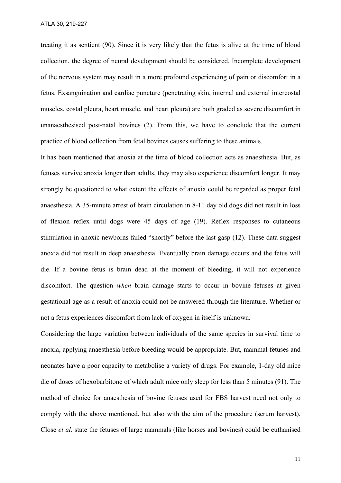treating it as sentient (90). Since it is very likely that the fetus is alive at the time of blood collection, the degree of neural development should be considered. Incomplete development of the nervous system may result in a more profound experiencing of pain or discomfort in a fetus. Exsanguination and cardiac puncture (penetrating skin, internal and external intercostal muscles, costal pleura, heart muscle, and heart pleura) are both graded as severe discomfort in unanaesthesised post-natal bovines (2). From this, we have to conclude that the current practice of blood collection from fetal bovines causes suffering to these animals.

It has been mentioned that anoxia at the time of blood collection acts as anaesthesia. But, as fetuses survive anoxia longer than adults, they may also experience discomfort longer. It may strongly be questioned to what extent the effects of anoxia could be regarded as proper fetal anaesthesia. A 35-minute arrest of brain circulation in 8-11 day old dogs did not result in loss of flexion reflex until dogs were 45 days of age (19). Reflex responses to cutaneous stimulation in anoxic newborns failed "shortly" before the last gasp (12). These data suggest anoxia did not result in deep anaesthesia. Eventually brain damage occurs and the fetus will die. If a bovine fetus is brain dead at the moment of bleeding, it will not experience discomfort. The question *when* brain damage starts to occur in bovine fetuses at given gestational age as a result of anoxia could not be answered through the literature. Whether or not a fetus experiences discomfort from lack of oxygen in itself is unknown.

Considering the large variation between individuals of the same species in survival time to anoxia, applying anaesthesia before bleeding would be appropriate. But, mammal fetuses and neonates have a poor capacity to metabolise a variety of drugs. For example, 1-day old mice die of doses of hexobarbitone of which adult mice only sleep for less than 5 minutes (91). The method of choice for anaesthesia of bovine fetuses used for FBS harvest need not only to comply with the above mentioned, but also with the aim of the procedure (serum harvest). Close *et al*. state the fetuses of large mammals (like horses and bovines) could be euthanised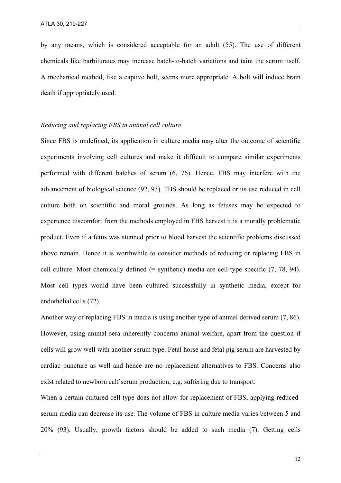by any means, which is considered acceptable for an adult (55). The use of different chemicals like barbiturates may increase batch-to-batch variations and taint the serum itself. A mechanical method, like a captive bolt, seems more appropriate. A bolt will induce brain death if appropriately used.

## *Reducing and replacing FBS in animal cell culture*

Since FBS is undefined, its application in culture media may alter the outcome of scientific experiments involving cell cultures and make it difficult to compare similar experiments performed with different batches of serum (6, 76). Hence, FBS may interfere with the advancement of biological science (92, 93). FBS should be replaced or its use reduced in cell culture both on scientific and moral grounds. As long as fetuses may be expected to experience discomfort from the methods employed in FBS harvest it is a morally problematic product. Even if a fetus was stunned prior to blood harvest the scientific problems discussed above remain. Hence it is worthwhile to consider methods of reducing or replacing FBS in cell culture. Most chemically defined (= synthetic) media are cell-type specific (7, 78, 94). Most cell types would have been cultured successfully in synthetic media, except for endothelial cells (72).

Another way of replacing FBS in media is using another type of animal derived serum (7, 86). However, using animal sera inherently concerns animal welfare, apart from the question if cells will grow well with another serum type. Fetal horse and fetal pig serum are harvested by cardiac puncture as well and hence are no replacement alternatives to FBS. Concerns also exist related to newborn calf serum production, e.g. suffering due to transport.

When a certain cultured cell type does not allow for replacement of FBS, applying reducedserum media can decrease its use. The volume of FBS in culture media varies between 5 and 20% (93). Usually, growth factors should be added to such media (7). Getting cells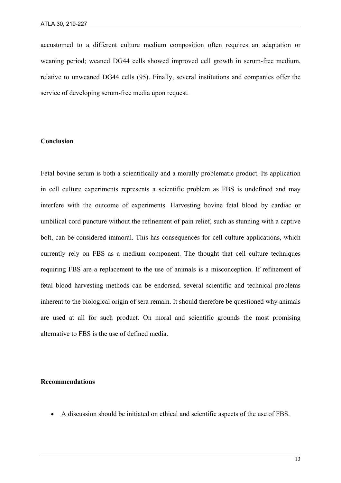accustomed to a different culture medium composition often requires an adaptation or weaning period; weaned DG44 cells showed improved cell growth in serum-free medium, relative to unweaned DG44 cells (95). Finally, several institutions and companies offer the service of developing serum-free media upon request.

## **Conclusion**

Fetal bovine serum is both a scientifically and a morally problematic product. Its application in cell culture experiments represents a scientific problem as FBS is undefined and may interfere with the outcome of experiments. Harvesting bovine fetal blood by cardiac or umbilical cord puncture without the refinement of pain relief, such as stunning with a captive bolt, can be considered immoral. This has consequences for cell culture applications, which currently rely on FBS as a medium component. The thought that cell culture techniques requiring FBS are a replacement to the use of animals is a misconception. If refinement of fetal blood harvesting methods can be endorsed, several scientific and technical problems inherent to the biological origin of sera remain. It should therefore be questioned why animals are used at all for such product. On moral and scientific grounds the most promising alternative to FBS is the use of defined media.

#### **Recommendations**

l

• A discussion should be initiated on ethical and scientific aspects of the use of FBS.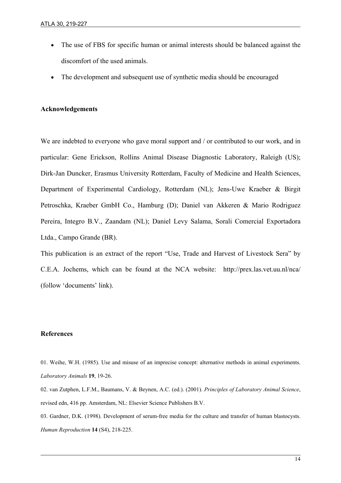- The use of FBS for specific human or animal interests should be balanced against the discomfort of the used animals.
- The development and subsequent use of synthetic media should be encouraged

#### **Acknowledgements**

We are indebted to everyone who gave moral support and / or contributed to our work, and in particular: Gene Erickson, Rollins Animal Disease Diagnostic Laboratory, Raleigh (US); Dirk-Jan Duncker, Erasmus University Rotterdam, Faculty of Medicine and Health Sciences, Department of Experimental Cardiology, Rotterdam (NL); Jens-Uwe Kraeber & Birgit Petroschka, Kraeber GmbH Co., Hamburg (D); Daniel van Akkeren & Mario Rodriguez Pereira, Integro B.V., Zaandam (NL); Daniel Levy Salama, Sorali Comercial Exportadora Ltda., Campo Grande (BR).

This publication is an extract of the report "Use, Trade and Harvest of Livestock Sera" by C.E.A. Jochems, which can be found at the NCA website: http://prex.las.vet.uu.nl/nca/ (follow 'documents' link).

#### **References**

l

- 01. Weihe, W.H. (1985). Use and misuse of an imprecise concept: alternative methods in animal experiments. *Laboratory Animals* **19**, 19-26.
- 02. van Zutphen, L.F.M., Baumans, V. & Beynen, A.C. (ed.). (2001). *Principles of Laboratory Animal Science*, revised edn, 416 pp. Amsterdam, NL: Elsevier Science Publishers B.V.
- 03. Gardner, D.K. (1998). Development of serum-free media for the culture and transfer of human blastocysts. *Human Reproduction* **14** (S4), 218-225.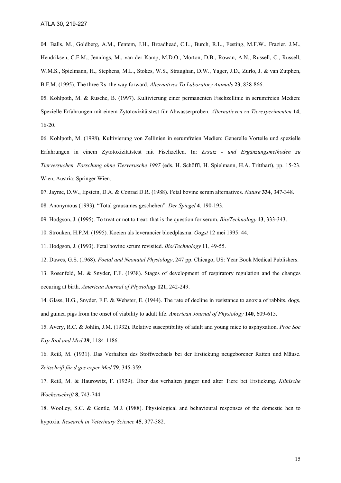04. Balls, M., Goldberg, A.M., Fentem, J.H., Broadhead, C.L., Burch, R.L., Festing, M.F.W., Frazier, J.M., Hendriksen, C.F.M., Jennings, M., van der Kamp, M.D.O., Morton, D.B., Rowan, A.N., Russell, C., Russell, W.M.S., Spielmann, H., Stephens, M.L., Stokes, W.S., Straughan, D.W., Yager, J.D., Zurlo, J. & van Zutphen, B.F.M. (1995). The three Rs: the way forward. *Alternatives To Laboratory Animals* **23**, 838-866.

05. Kohlpoth, M. & Rusche, B. (1997). Kultivierung einer permanenten Fischzellinie in serumfreien Medien: Spezielle Erfahrungen mit einem Zytotoxizitätstest für Abwasserproben. *Alternatieven zu Tierexperimenten* **14**, 16-20.

06. Kohlpoth, M. (1998). Kultivierung von Zellinien in serumfreien Medien: Generelle Vorteile und spezielle Erfahrungen in einem Zytotoxizitätstest mit Fischzellen. In: *Ersatz - und Ergänzungsmethoden zu Tierversuchen. Forschung ohne Tierverusche 1997* (eds. H. Schöffl, H. Spielmann, H.A. Tritthart), pp. 15-23. Wien, Austria: Springer Wien.

07. Jayme, D.W., Epstein, D.A. & Conrad D.R. (1988). Fetal bovine serum alternatives. *Nature* **334**, 347-348.

08. Anonymous (1993). "Total grausames geschehen". *Der Spiegel* **4**, 190-193.

09. Hodgson, J. (1995). To treat or not to treat: that is the question for serum. *Bio/Technology* **13**, 333-343.

10. Strouken, H.P.M. (1995). Koeien als leverancier bloedplasma. *Oogst* 12 mei 1995: 44.

11. Hodgson, J. (1993). Fetal bovine serum revisited. *Bio/Technology* **11**, 49-55.

12. Dawes, G.S. (1968). *Foetal and Neonatal Physiology*, 247 pp. Chicago, US: Year Book Medical Publishers.

13. Rosenfeld, M. & Snyder, F.F. (1938). Stages of development of respiratory regulation and the changes occuring at birth. *American Journal of Physiology* **121**, 242-249.

14. Glass, H.G., Snyder, F.F. & Webster, E. (1944). The rate of decline in resistance to anoxia of rabbits, dogs, and guinea pigs from the onset of viability to adult life. *American Journal of Physiology* **140**, 609-615.

15. Avery, R.C. & Johlin, J.M. (1932). Relative susceptibility of adult and young mice to asphyxation. *Proc Soc Exp Biol and Med* **29**, 1184-1186.

16. Reiß, M. (1931). Das Verhalten des Stoffwechsels bei der Erstickung neugeborener Ratten und Mäuse. *Zeitschrift für d ges exper Med* **79**, 345-359.

17. Reiß, M. & Haurowitz, F. (1929). Über das verhalten junger und alter Tiere bei Erstickung. *Klinische Wochenschrift* **8**, 743-744.

18. Woolley, S.C. & Gentle, M.J. (1988). Physiological and behavioural responses of the domestic hen to hypoxia. *Research in Veterinary Science* **45**, 377-382.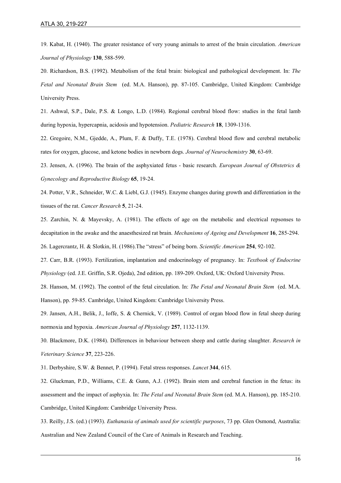19. Kabat, H. (1940). The greater resistance of very young animals to arrest of the brain circulation. *American Journal of Physiology* **130**, 588-599.

20. Richardson, B.S. (1992). Metabolism of the fetal brain: biological and pathological development. In: *The Fetal and Neonatal Brain Stem* (ed. M.A. Hanson), pp. 87-105. Cambridge, United Kingdom: Cambridge University Press.

21. Ashwal, S.P., Dale, P.S. & Longo, L.D. (1984). Regional cerebral blood flow: studies in the fetal lamb during hypoxia, hypercapnia, acidosis and hypotension. *Pediatric Research* **18**, 1309-1316.

22. Gregoire, N.M., Gjedde, A., Plum, F. & Duffy, T.E. (1978). Cerebral blood flow and cerebral metabolic rates for oxygen, glucose, and ketone bodies in newborn dogs. *Journal of Neurochemistry* **30**, 63-69.

23. Jensen, A. (1996). The brain of the asphyxiated fetus - basic research. *European Journal of Obstetrics & Gynecology and Reproductive Biology* **65**, 19-24.

24. Potter, V.R., Schneider, W.C. & Liebl, G.J. (1945). Enzyme changes during growth and differentiation in the tissues of the rat. *Cancer Research* **5**, 21-24.

25. Zarchin, N. & Mayevsky, A. (1981). The effects of age on the metabolic and electrical repsonses to decapitation in the awake and the anaesthesized rat brain. *Mechanisms of Ageing and Development* **16**, 285-294. 26. Lagercrantz, H. & Slotkin, H. (1986).The "stress" of being born. *Scientific American* **254**, 92-102.

27. Carr, B.R. (1993). Fertilization, implantation and endocrinology of pregnancy. In: *Textbook of Endocrine Physiology* (ed. J.E. Griffin, S.R. Ojeda), 2nd edition, pp. 189-209. Oxford, UK: Oxford University Press.

28. Hanson, M. (1992). The control of the fetal circulation. In: *The Fetal and Neonatal Brain Stem* (ed. M.A. Hanson), pp. 59-85. Cambridge, United Kingdom: Cambridge University Press.

29. Jansen, A.H., Belik, J., Ioffe, S. & Chernick, V. (1989). Control of organ blood flow in fetal sheep during normoxia and hypoxia. *American Journal of Physiology* **257**, 1132-1139.

30. Blackmore, D.K. (1984). Differences in behaviour between sheep and cattle during slaughter. *Research in Veterinary Science* **37**, 223-226.

31. Derbyshire, S.W. & Bennet, P. (1994). Fetal stress responses. *Lancet* **344**, 615.

32. Gluckman, P.D., Williams, C.E. & Gunn, A.J. (1992). Brain stem and cerebral function in the fetus: its assessment and the impact of asphyxia. In: *The Fetal and Neonatal Brain Stem* (ed. M.A. Hanson), pp. 185-210. Cambridge, United Kingdom: Cambridge University Press.

33. Reilly, J.S. (ed.) (1993). *Euthanasia of animals used for scientific purposes*, 73 pp. Glen Osmond, Australia: Australian and New Zealand Council of the Care of Animals in Research and Teaching.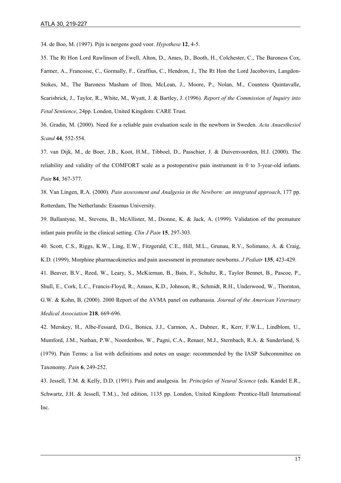34. de Boo, M. (1997). Pijn is nergens goed voor. *Hypothese* **12**, 4-5.

35. The Rt Hon Lord Rawlinson of Ewell, Alton, D., Ames, D., Booth, H., Colchester, C., The Baroness Cox, Farmer, A., Francoise, C., Gormally, F., Graffius, C., Hendron, J., The Rt Hon the Lord Jacobovirs, Langdon-Stokes, M., The Baroness Masham of Ilton, McLean, J., Moore, P., Nolan, M., Countess Quintavalle, Scarisbrick, J., Taylor, R., White, M., Wyatt, J. & Bartley, J. (1996). *Report of the Commission of Inquiry into Fetal Sentience*, 24pp. London, United Kingdom: CARE Trust.

36. Gradin, M. (2000). Need for a reliable pain evaluation scale in the newborn in Sweden. *Acta Anaesthesiol Scand* **44**, 552-554.

37. van Dijk, M., de Boer, J.B., Koot, H.M., Tibboel, D., Passchier, J. & Duivenvoorden, H.J. (2000). The reliability and validity of the COMFORT scale as a postoperative pain instrument in 0 to 3-year-old infants. *Pain* **84**, 367-377.

38. Van Lingen, R.A. (2000). *Pain assessment and Analgesia in the Newborn: an integrated approach*, 177 pp. Rotterdam, The Netherlands: Erasmus University.

39. Ballantyne, M., Stevens, B., McAllister, M., Dionne, K. & Jack, A. (1999). Validation of the premature infant pain profile in the clinical setting. *Clin J Pain* **15**, 297-303.

40. Scott, C.S., Riggs, K.W., Ling, E.W., Fitzgerald, C.E., Hill, M.L., Grunau, R.V., Solimano, A. & Craig, K.D. (1999). Morphine pharmacokinetics and pain assessment in premature newborns. *J Pediatr* **135**, 423-429.

41. Beaver, B.V., Reed, W., Leary, S., McKiernan, B., Bain, F., Schultz, R., Taylor Bennet, B., Pascoe, P., Shull, E., Cork, L.C., Francis-Floyd, R., Amass, K.D., Johnson, R., Schmidt, R.H., Underwood, W., Thornton, G.W. & Kohn, B. (2000). 2000 Report of the AVMA panel on euthanasia. *Journal of the American Veterinary Medical Association* **218**, 669-696.

42. Merskey, H., Albe-Fessard, D.G., Bonica, J.J., Carmon, A., Dubner, R., Kerr, F.W.L., Lindblom, U., Mumford, J.M., Nathan, P.W., Noordenbos, W., Pagni, C.A., Renaer, M.J., Sternbach, R.A. & Sunderland, S. (1979). Pain Terms: a list with definitions and notes on usage: recommended by the IASP Subcommittee on Taxonomy. *Pain* **6**, 249-252.

43. Jessell, T.M. & Kelly, D.D. (1991). Pain and analgesia. In: *Principles of Neural Science* (eds. Kandel E.R., Schwartz, J.H. & Jessell, T.M.)., 3rd edition, 1135 pp. London, United Kingdom: Prentice-Hall International Inc.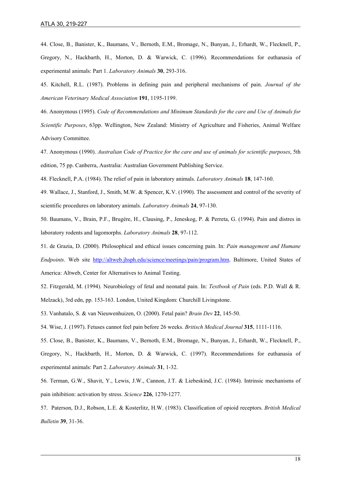44. Close, B., Banister, K., Baumans, V., Bernoth, E.M., Bromage, N., Bunyan, J., Erhardt, W., Flecknell, P., Gregory, N., Hackbarth, H., Morton, D. & Warwick, C. (1996). Recommendations for euthanasia of experimental animals: Part 1. *Laboratory Animals* **30**, 293-316.

45. Kitchell, R.L. (1987). Problems in defining pain and peripheral mechanisms of pain. *Journal of the American Veterinary Medical Association* **191**, 1195-1199.

46. Anonymous (1995). *Code of Recommendations and Minimum Standards for the care and Use of Animals for Scientific Purposes*, 63pp. Wellington, New Zealand: Ministry of Agriculture and Fisheries, Animal Welfare Advisory Committee.

47. Anonymous (1990). *Australian Code of Practice for the care and use of animals for scientific purposes*, 5th edition, 75 pp. Canberra, Australia: Australian Government Publishing Service.

48. Flecknell, P.A. (1984). The relief of pain in laboratory animals. *Laboratory Animals* **18**, 147-160.

49. Wallace, J., Stanford, J., Smith, M.W. & Spencer, K.V. (1990). The assessment and control of the severity of scientific procedures on laboratory animals. *Laboratory Animals* **24**, 97-130.

50. Baumans, V., Brain, P.F., Brugére, H., Clausing, P., Jeneskog, P. & Perreta, G. (1994). Pain and distres in laboratory rodents and lagomorphs. *Laboratory Animals* **28**, 97-112.

51. de Grazia, D. (2000). Philosophical and ethical issues concerning pain. In: *Pain management and Humane Endpoints*. Web site [http://altweb.jhsph.edu/science/meetings/pain/program.htm.](http://altweb.jhsph.edu/science/meetings/pain/program.htm) Baltimore, United States of America: Altweb, Center for Alternatives to Animal Testing.

52. Fitzgerald, M. (1994). Neurobiology of fetal and neonatal pain. In: *Textbook of Pain* (eds. P.D. Wall & R. Melzack), 3rd edn, pp. 153-163. London, United Kingdom: Churchill Livingstone.

53. Vanhatalo, S. & van Nieuwenhuizen, O. (2000). Fetal pain? *Brain Dev* **22**, 145-50.

54. Wise, J. (1997). Fetuses cannot feel pain before 26 weeks. *Britisch Medical Journal* **315**, 1111-1116.

55. Close, B., Banister, K., Baumans, V., Bernoth, E.M., Bromage, N., Bunyan, J., Erhardt, W., Flecknell, P., Gregory, N., Hackbarth, H., Morton, D. & Warwick, C. (1997). Recommendations for euthanasia of experimental animals: Part 2. *Laboratory Animals* **31**, 1-32.

56. Terman, G.W., Shavit, Y., Lewis, J.W., Cannon, J.T. & Liebeskind, J.C. (1984). Intrinsic mechanisms of pain inhibition: activation by stress. *Science* **226**, 1270-1277.

57. Paterson, D.J., Robson, L.E. & Kosterlitz, H.W. (1983). Classification of opioid receptors. *British Medical Bulletin* **39**, 31-36.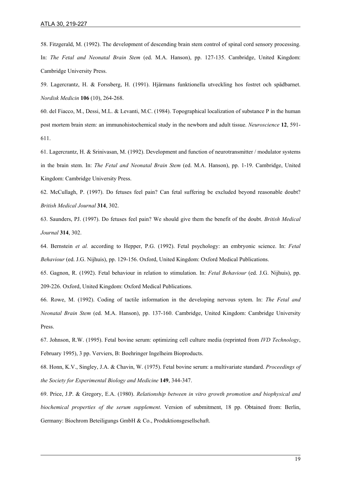58. Fitzgerald, M. (1992). The development of descending brain stem control of spinal cord sensory processing. In: *The Fetal and Neonatal Brain Stem* (ed. M.A. Hanson), pp. 127-135. Cambridge, United Kingdom: Cambridge University Press.

59. Lagercrantz, H. & Forssberg, H. (1991). Hjärmans funktionella utveckling hos fostret och spädbarnet. *Nordisk Medicin* **106** (10), 264-268.

60. del Fiacco, M., Dessi, M.L. & Levanti, M.C. (1984). Topographical localization of substance P in the human post mortem brain stem: an immunohistochemical study in the newborn and adult tissue. *Neuroscience* **12**, 591- 611.

61. Lagercrantz, H. & Srinivasan, M. (1992). Development and function of neurotransmitter / modulator systems in the brain stem. In: *The Fetal and Neonatal Brain Stem* (ed. M.A. Hanson), pp. 1-19. Cambridge, United Kingdom: Cambridge University Press.

62. McCullagh, P. (1997). Do fetuses feel pain? Can fetal suffering be excluded beyond reasonable doubt? *British Medical Journal* **314**, 302.

63. Saunders, PJ. (1997). Do fetuses feel pain? We should give them the benefit of the doubt. *British Medical Journal* **314**, 302.

64. Bernstein *et al.* according to Hepper, P.G. (1992). Fetal psychology: an embryonic science. In: *Fetal Behaviour* (ed. J.G. Nijhuis), pp. 129-156. Oxford, United Kingdom: Oxford Medical Publications.

65. Gagnon, R. (1992). Fetal behaviour in relation to stimulation. In: *Fetal Behaviour* (ed. J.G. Nijhuis), pp. 209-226. Oxford, United Kingdom: Oxford Medical Publications.

66. Rowe, M. (1992). Coding of tactile information in the developing nervous sytem. In: *The Fetal and Neonatal Brain Stem* (ed. M.A. Hanson), pp. 137-160. Cambridge, United Kingdom: Cambridge University Press.

67. Johnson, R.W. (1995). Fetal bovine serum: optimizing cell culture media (reprinted from *IVD Technology*, February 1995), 3 pp. Verviers, B: Boehringer Ingelheim Bioproducts.

68. Honn, K.V., Singley, J.A. & Chavin, W. (1975). Fetal bovine serum: a multivariate standard. *Proceedings of the Society for Experimental Biology and Medicine* **149**, 344-347.

69. Price, J.P. & Gregory, E.A. (1980). *Relationship between in vitro growth promotion and biophysical and biochemical properties of the serum supplement*. Version of submitment, 18 pp. Obtained from: Berlin, Germany: Biochrom Beteiligungs GmbH & Co., Produktionsgesellschaft.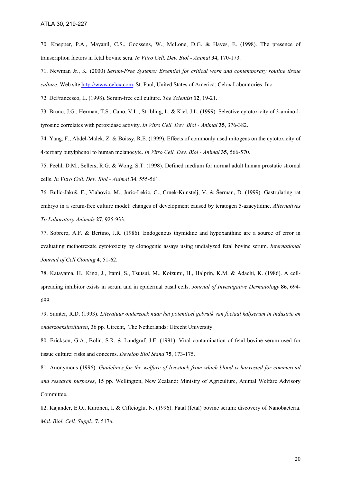70. Knepper, P.A., Mayanil, C.S., Goossens, W., McLone, D.G. & Hayes, E. (1998). The presence of transcription factors in fetal bovine sera. *In Vitro Cell. Dev. Biol - Animal* **34**, 170-173.

71. Newman Jr., K. (2000) *Serum-Free Systems: Essential for critical work and contemporary routine tissue culture*. Web site **http://www.celox.com.** St. Paul, United States of America: Celox Laboratories, Inc.

72. DeFrancesco, L. (1998). Serum-free cell culture. *The Scientist* **12**, 19-21.

73. Bruno, J.G., Herman, T.S., Cano, V.L., Stribling, L. & Kiel, J.L. (1999). Selective cytotoxicity of 3-amino-ltyrosine correlates with peroxidase activity. *In Vitro Cell. Dev. Biol - Animal* **35**, 376-382.

74. Yang, F., Abdel-Malek, Z. & Boissy, R.E. (1999). Effects of commonly used mitogens on the cytotoxicity of 4-tertiary butylphenol to human melanocyte. *In Vitro Cell. Dev. Biol - Animal* **35**, 566-570.

75. Peehl, D.M., Sellers, R.G. & Wong, S.T. (1998). Defined medium for normal adult human prostatic stromal cells. *In Vitro Cell. Dev. Biol - Animal* **34**, 555-561.

76. Bulic-Jakuš, F., Vlahovic, M., Juric-Lekic, G., Crnek-Kunstelj, V. & Šerman, D. (1999). Gastrulating rat embryo in a serum-free culture model: changes of development caused by teratogen 5-azacytidine. *Alternatives To Laboratory Animals* **27**, 925-933.

77. Sobrero, A.F. & Bertino, J.R. (1986). Endogenous thymidine and hypoxanthine are a source of error in evaluating methotrexate cytotoxicity by clonogenic assays using undialyzed fetal bovine serum. *International Journal of Cell Cloning* **4**, 51-62.

78. Katayama, H., Kino, J., Itami, S., Tsutsui, M., Koizumi, H., Halprin, K.M. & Adachi, K. (1986). A cellspreading inhibitor exists in serum and in epidermal basal cells. *Journal of Investigative Dermatology* **86**, 694- 699.

79. Sumter, R.D. (1993). *Literatuur onderzoek naar het potentieel gebruik van foetaal kalfserum in industrie en onderzoeksinstituten*, 36 pp*.* Utrecht, The Netherlands: Utrecht University.

80. Erickson, G.A., Bolin, S.R. & Landgraf, J.E. (1991). Viral contamination of fetal bovine serum used for tissue culture: risks and concerns. *Develop Biol Stand* **75**, 173-175.

81. Anonymous (1996). *Guidelines for the welfare of livestock from which blood is harvested for commercial and research purposes*, 15 pp*.* Wellington, New Zealand: Ministry of Agriculture, Animal Welfare Advisory Committee.

82. Kajander, E.O., Kuronen, I. & Ciftcioglu, N. (1996). Fatal (fetal) bovine serum: discovery of Nanobacteria. *Mol. Biol. Cell, Suppl*., **7**, 517a.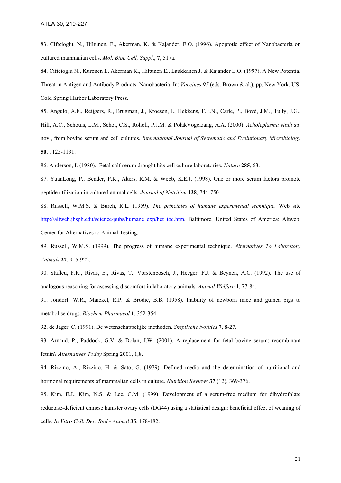83. Ciftcioglu, N., Hiltunen, E., Akerman, K. & Kajander, E.O. (1996). Apoptotic effect of Nanobacteria on cultured mammalian cells. *Mol. Biol. Cell, Suppl*., **7**, 517a.

84. Ciftcioglu N., Kuronen I., Akerman K., Hiltunen E., Laukkanen J. & Kajander E.O. (1997). A New Potential Threat in Antigen and Antibody Products: Nanobacteria. In: *Vaccines 97* (eds. Brown & al.), pp. New York, US: Cold Spring Harbor Laboratory Press.

85. Angulo, A.F., Reijgers, R., Brugman, J., Kroesen, I., Hekkens, F.E.N., Carle, P., Bové, J.M., Tully, J.G., Hill, A.C., Schouls, L.M., Schot, C.S., Roholl, P.J.M. & PolakVogelzang, A.A. (2000). *Acholeplasma vituli* sp. nov., from bovine serum and cell cultures. *International Journal of Systematic and Evolutionary Microbiology* **50**, 1125-1131.

86. Anderson, I. (1980). Fetal calf serum drought hits cell culture laboratories. *Nature* **285**, 63.

87. YuanLong, P., Bender, P.K., Akers, R.M. & Webb, K.E.J. (1998). One or more serum factors promote peptide utilization in cultured animal cells. *Journal of Nutrition* **128**, 744-750.

88. Russell, W.M.S. & Burch, R.L. (1959). *The principles of humane experimental technique*. Web site [http://altweb.jhsph.edu/science/pubs/humane\\_exp/het\\_toc.htm](http://altweb.jhsph.edu/science/pubs/humane_exp/het_toc.htm). Baltimore, United States of America: Altweb, Center for Alternatives to Animal Testing.

89. Russell, W.M.S. (1999). The progress of humane experimental technique. *Alternatives To Laboratory Animals* **27**, 915-922.

90. Stafleu, F.R., Rivas, E., Rivas, T., Vorstenbosch, J., Heeger, F.J. & Beynen, A.C. (1992). The use of analogous reasoning for assessing discomfort in laboratory animals. *Animal Welfare* **1**, 77-84.

91. Jondorf, W.R., Maickel, R.P. & Brodie, B.B. (1958). Inability of newborn mice and guinea pigs to metabolise drugs. *Biochem Pharmacol* **1**, 352-354.

92. de Jager, C. (1991). De wetenschappelijke methoden. *Skeptische Notities* **7**, 8-27.

93. Arnaud, P., Paddock, G.V. & Dolan, J.W. (2001). A replacement for fetal bovine serum: recombinant fetuin? *Alternatives Today* Spring 2001, 1,8.

94. Rizzino, A., Rizzino, H. & Sato, G. (1979). Defined media and the determination of nutritional and hormonal requirements of mammalian cells in culture. *Nutrition Reviews* **37** (12), 369-376.

95. Kim, E.J., Kim, N.S. & Lee, G.M. (1999). Development of a serum-free medium for dihydrofolate reductase-deficient chinese hamster ovary cells (DG44) using a statistical design: beneficial effect of weaning of cells. *In Vitro Cell. Dev. Biol - Animal* **35**, 178-182.